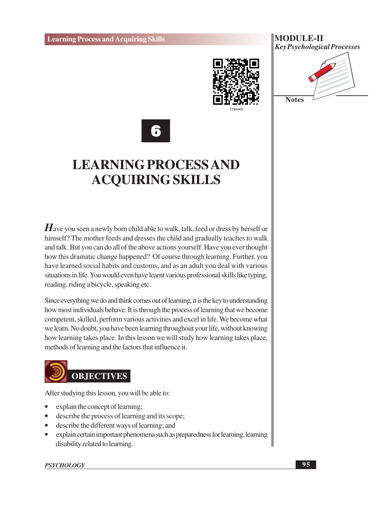





## **LEARNING PROCESS AND ACQUIRING SKILLS**

 $\boldsymbol{H}$  ave you seen a newly born child able to walk, talk, feed or dress by herself or himself? The mother feeds and dresses the child and gradually teaches to walk and talk. But you can do all of the above actions yourself. Have you ever thought how this dramatic change happened? Of course through learning. Further, you have learned social habits and customs, and as an adult you deal with various situations in life. You would even have learnt various professional skills like typing. reading, riding a bicycle, speaking etc.

Since everything we do and think comes out of learning, it is the key to understanding how most individuals behave. It is through the process of learning that we become competent, skilled, perform various activities and excel in life. We become what we learn. No doubt, you have been learning throughout your life, without knowing how learning takes place. In this lesson we will study how learning takes place, methods of learning and the factors that influence it.

# **OBJECTIVES**

After studying this lesson, you will be able to:

- explain the concept of learning;
- describe the process of learning and its scope;
- describe the different ways of learning; and  $\bullet$
- explain certain important phenomena such as preparedness for learning, learning  $\bullet$ disability related to learning.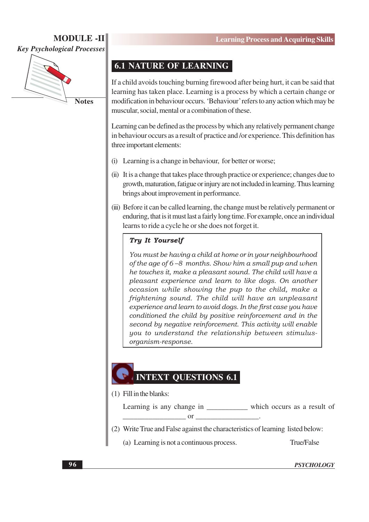## **MODULE-II**

**Key Psychological Processes** 



## **6.1 NATURE OF LEARNING**

If a child avoids touching burning firewood after being hurt, it can be said that learning has taken place. Learning is a process by which a certain change or modification in behaviour occurs. 'Behaviour' refers to any action which may be muscular, social, mental or a combination of these.

Learning can be defined as the process by which any relatively permanent change in behaviour occurs as a result of practice and /or experience. This definition has three important elements:

- (i) Learning is a change in behaviour, for better or worse;
- (ii) It is a change that takes place through practice or experience; changes due to growth, maturation, fatigue or injury are not included in learning. Thus learning brings about improvement in performance.
- (iii) Before it can be called learning, the change must be relatively permanent or enduring, that is it must last a fairly long time. For example, once an individual learns to ride a cycle he or she does not forget it.

#### Try It Yourself

You must be having a child at home or in your neighbourhood of the age of 6-8 months. Show him a small pup and when he touches it, make a pleasant sound. The child will have a pleasant experience and learn to like dogs. On another occasion while showing the pup to the child, make a frightening sound. The child will have an unpleasant experience and learn to avoid dogs. In the first case you have conditioned the child by positive reinforcement and in the second by negative reinforcement. This activity will enable you to understand the relationship between stimulusorganism-response.

## **INTEXT QUESTIONS 6.1**

 $(1)$  Fill in the blanks:

Learning is any change in \_\_\_\_\_\_\_\_\_\_\_\_ which occurs as a result of  $\alpha$ 

- (2) Write True and False against the characteristics of learning listed below:
	- (a) Learning is not a continuous process. True/False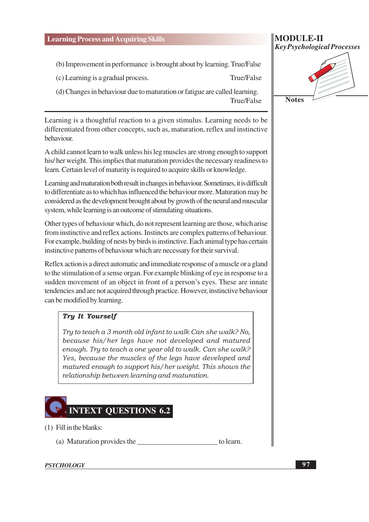- (b) Improvement in performance is brought about by learning. True/False
- (c) Learning is a gradual process.
- (d) Changes in behaviour due to maturation or fatigue are called learning. **True/False**

Learning is a thoughtful reaction to a given stimulus. Learning needs to be differentiated from other concepts, such as, maturation, reflex and instinctive behaviour.

A child cannot learn to walk unless his leg muscles are strong enough to support his/her weight. This implies that maturation provides the necessary readiness to learn. Certain level of maturity is required to acquire skills or knowledge.

Learning and maturation both result in changes in behaviour. Sometimes, it is difficult to differentiate as to which has influenced the behaviour more. Maturation may be considered as the development brought about by growth of the neural and muscular system, while learning is an outcome of stimulating situations.

Other types of behaviour which, do not represent learning are those, which arise from instinctive and reflex actions. Instincts are complex patterns of behaviour. For example, building of nests by birds is instinctive. Each animal type has certain instinctive patterns of behaviour which are necessary for their survival.

Reflex action is a direct automatic and immediate response of a muscle or a gland to the stimulation of a sense organ. For example blinking of eye in response to a sudden movement of an object in front of a person's eyes. These are innate tendencies and are not acquired through practice. However, instinctive behaviour can be modified by learning.

#### **Tru It Yourself**

Try to teach a 3 month old infant to walk Can she walk? No, because his/her legs have not developed and matured enough. Try to teach a one year old to walk. Can she walk? Yes, because the muscles of the legs have developed and matured enough to support his/her weight. This shows the relationship between learning and maturation.



- $(1)$  Fill in the blanks:
	- to learn.

#### **PSYCHOLOGY**

#### **MODULE-II Key Psychological Processes**

True/False

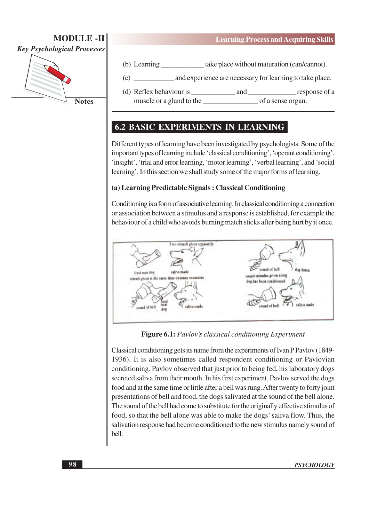

**Notes** 

- (b) Learning \_\_\_\_\_\_\_\_\_\_\_\_\_ take place without maturation (can/cannot).
- and experience are necessary for learning to take place.  $(c)$
- response of a (d) Reflex behaviour is and muscle or a gland to the of a sense organ.

## **6.2 BASIC EXPERIMENTS IN LEARNING**

Different types of learning have been investigated by psychologists. Some of the important types of learning include 'classical conditioning', 'operant conditioning', 'insight', 'trial and error learning, 'motor learning', 'verbal learning', and 'social learning'. In this section we shall study some of the major forms of learning.

#### (a) Learning Predictable Signals: Classical Conditioning

Conditioning is a form of associative learning. In classical conditioning a connection or association between a stimulus and a response is established, for example the behaviour of a child who avoids burning match sticks after being hurt by it once.



**Figure 6.1:** Pavlov's classical conditioning Experiment

Classical conditioning gets its name from the experiments of Ivan P Pavlov (1849-1936). It is also sometimes called respondent conditioning or Pavlovian conditioning. Pavlov observed that just prior to being fed, his laboratory dogs secreted saliva from their mouth. In his first experiment, Pavlov served the dogs food and at the same time or little after a bell was rung. After twenty to forty joint presentations of bell and food, the dogs salivated at the sound of the bell alone. The sound of the bell had come to substitute for the originally effective stimulus of food, so that the bell alone was able to make the dogs' saliva flow. Thus, the salivation response had become conditioned to the new stimulus namely sound of bell.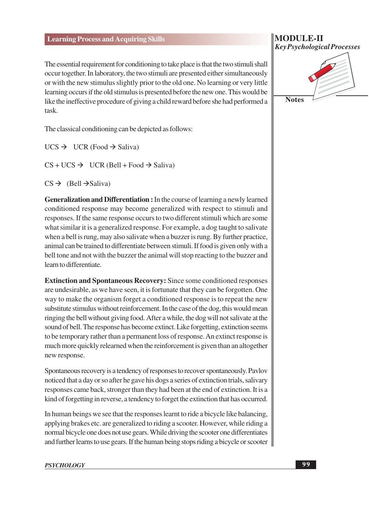The essential requirement for conditioning to take place is that the two stimuli shall occur together. In laboratory, the two stimuli are presented either simultaneously or with the new stimulus slightly prior to the old one. No learning or very little learning occurs if the old stimulus is presented before the new one. This would be like the ineffective procedure of giving a child reward before she had performed a task.

The classical conditioning can be depicted as follows:

 $UCS \rightarrow UCR$  (Food  $\rightarrow$  Saliva)

 $CS + UCS \rightarrow UCR$  (Bell + Food  $\rightarrow$  Saliva)

 $CS \rightarrow$  (Bell  $\rightarrow$  Saliva)

Generalization and Differentiation : In the course of learning a newly learned conditioned response may become generalized with respect to stimuli and responses. If the same response occurs to two different stimuli which are some what similar it is a generalized response. For example, a dog taught to salivate when a bell is rung, may also salivate when a buzzer is rung. By further practice, animal can be trained to differentiate between stimuli. If food is given only with a bell tone and not with the buzzer the animal will stop reacting to the buzzer and learn to differentiate

**Extinction and Spontaneous Recovery: Since some conditioned responses** are undesirable, as we have seen, it is fortunate that they can be forgotten. One way to make the organism forget a conditioned response is to repeat the new substitute stimulus without reinforcement. In the case of the dog, this would mean ringing the bell without giving food. After a while, the dog will not salivate at the sound of bell. The response has become extinct. Like forgetting, extinction seems to be temporary rather than a permanent loss of response. An extinct response is much more quickly relearned when the reinforcement is given than an altogether new response.

Spontaneous recovery is a tendency of responses to recover spontaneously. Paylov noticed that a day or so after he gave his dogs a series of extinction trials, salivary responses came back, stronger than they had been at the end of extinction. It is a kind of forgetting in reverse, a tendency to forget the extinction that has occurred.

In human beings we see that the responses learnt to ride a bicycle like balancing, applying brakes etc. are generalized to riding a scooter. However, while riding a normal bicycle one does not use gears. While driving the scooter one differentiates and further learns to use gears. If the human being stops riding a bicycle or scooter

#### **MODULE-II Key Psychological Processes**

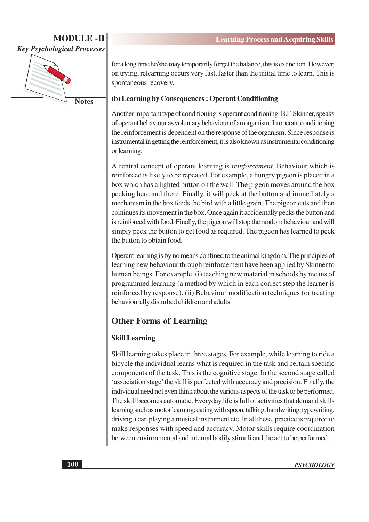

**Notes** 

for a long time he/she may temporarily forget the balance, this is extinction. However, on trying, relearning occurs very fast, faster than the initial time to learn. This is spontaneous recovery.

#### (b) Learning by Consequences: Operant Conditioning

Another important type of conditioning is operant conditioning. B.F. Skinner, speaks of operant behaviour as voluntary behaviour of an organism. In operant conditioning the reinforcement is dependent on the response of the organism. Since response is instrumental in getting the reinforcement, it is also known as instrumental conditioning or learning.

A central concept of operant learning is *reinforcement*. Behaviour which is reinforced is likely to be repeated. For example, a hungry pigeon is placed in a box which has a lighted button on the wall. The pigeon moves around the box pecking here and there. Finally, it will peck at the button and immediately a mechanism in the box feeds the bird with a little grain. The pigeon eats and then continues its movement in the box. Once again it accidentally pecks the button and is reinforced with food. Finally, the pigeon will stop the random behaviour and will simply peck the button to get food as required. The pigeon has learned to peck the button to obtain food.

Operant learning is by no means confined to the animal kingdom. The principles of learning new behaviour through reinforcement have been applied by Skinner to human beings. For example, (i) teaching new material in schools by means of programmed learning (a method by which in each correct step the learner is reinforced by response). (ii) Behaviour modification techniques for treating behaviourally disturbed children and adults.

## **Other Forms of Learning**

#### **Skill Learning**

Skill learning takes place in three stages. For example, while learning to ride a bicycle the individual learns what is required in the task and certain specific components of the task. This is the cognitive stage. In the second stage called 'association stage' the skill is perfected with accuracy and precision. Finally, the individual need not even think about the various aspects of the task to be performed. The skill becomes automatic. Everyday life is full of activities that demand skills learning such as motor learning; eating with spoon, talking, handwriting, typewriting, driving a car, playing a musical instrument etc. In all these, practice is required to make responses with speed and accuracy. Motor skills require coordination between environmental and internal bodily stimuli and the act to be performed.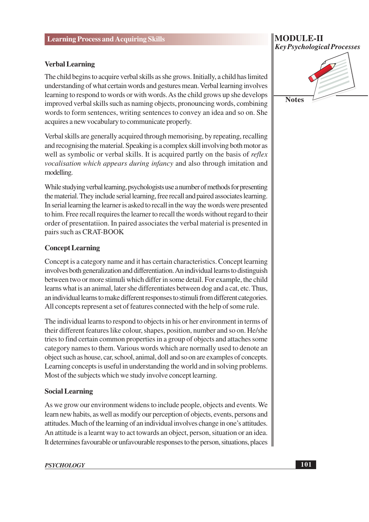#### **Verbal Learning**

The child begins to acquire verbal skills as she grows. Initially, a child has limited understanding of what certain words and gestures mean. Verbal learning involves learning to respond to words or with words. As the child grows up she develops improved verbal skills such as naming objects, pronouncing words, combining words to form sentences, writing sentences to convey an idea and so on. She acquires a new vocabulary to communicate properly.

Verbal skills are generally acquired through memorising, by repeating, recalling and recognising the material. Speaking is a complex skill involving both motor as well as symbolic or verbal skills. It is acquired partly on the basis of *reflex vocalisation which appears during infancy* and also through imitation and modelling.

While studying verbal learning, psychologists use a number of methods for presenting the material. They include serial learning, free recall and paired associates learning. In serial learning the learner is asked to recall in the way the words were presented to him. Free recall requires the learner to recall the words without regard to their order of presentatiion. In paired associates the verbal material is presented in pairs such as CRAT-BOOK

#### **Concept Learning**

Concept is a category name and it has certain characteristics. Concept learning involves both generalization and differentiation. An individual learns to distinguish between two or more stimuli which differ in some detail. For example, the child learns what is an animal, later she differentiates between dog and a cat, etc. Thus, an individual learns to make different responses to stimuli from different categories. All concepts represent a set of features connected with the help of some rule.

The individual learns to respond to objects in his or her environment in terms of their different features like colour, shapes, position, number and so on. He/she tries to find certain common properties in a group of objects and attaches some category names to them. Various words which are normally used to denote an object such as house, car, school, animal, doll and so on are examples of concepts. Learning concepts is useful in understanding the world and in solving problems. Most of the subjects which we study involve concept learning.

#### **Social Learning**

As we grow our environment widens to include people, objects and events. We learn new habits, as well as modify our perception of objects, events, persons and attitudes. Much of the learning of an individual involves change in one's attitudes. An attitude is a learnt way to act towards an object, person, situation or an idea. It determines favourable or unfavourable responses to the person, situations, places

## **MODULE-II Key Psychological Processes**

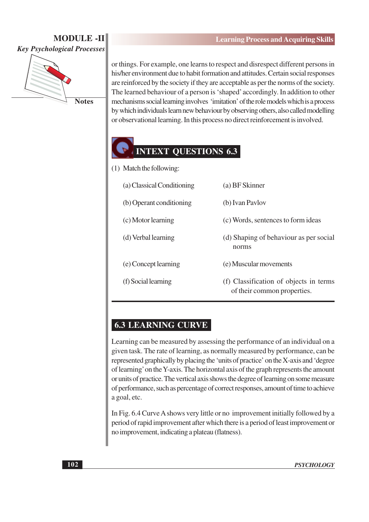## **MODULE -II Key Psychological Processes**



**Notes** 

or things. For example, one learns to respect and disrespect different persons in his/her environment due to habit formation and attitudes. Certain social responses are reinforced by the society if they are acceptable as per the norms of the society. The learned behaviour of a person is 'shaped' accordingly. In addition to other mechanisms social learning involves 'imitation' of the role models which is a process by which individuals learn new behaviour by observing others, also called modelling or observational learning. In this process no direct reinforcement is involved.

## **INTEXT QUESTIONS 6.3**

- (1) Match the following:
	- (a) BF Skinner (a) Classical Conditioning
	- (b) Operant conditioning (b) Ivan Paylov
	- (c) Motor learning
	- (d) Verbal learning (d) Shaping of behaviour as per social

norms

- (e) Concept learning (e) Muscular movements
- (f) Social learning
- (f) Classification of objects in terms of their common properties.

(c) Words, sentences to form ideas

### **6.3 LEARNING CURVE**

Learning can be measured by assessing the performance of an individual on a given task. The rate of learning, as normally measured by performance, can be represented graphically by placing the 'units of practice' on the X-axis and 'degree of learning' on the Y-axis. The horizontal axis of the graph represents the amount or units of practice. The vertical axis shows the degree of learning on some measure of performance, such as percentage of correct responses, amount of time to achieve a goal, etc.

In Fig. 6.4 Curve A shows very little or no improvement initially followed by a period of rapid improvement after which there is a period of least improvement or no improvement, indicating a plateau (flatness).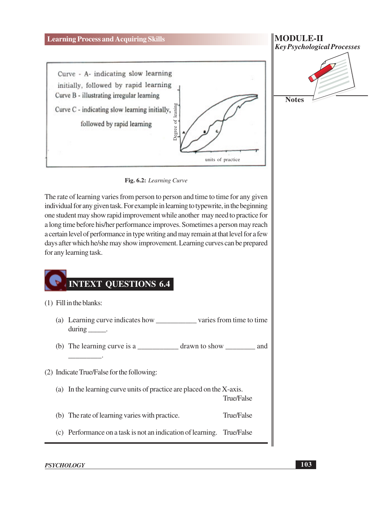

Fig. 6.2: Learning Curve

The rate of learning varies from person to person and time to time for any given individual for any given task. For example in learning to typewrite, in the beginning one student may show rapid improvement while another may need to practice for a long time before his/her performance improves. Sometimes a person may reach a certain level of performance in type writing and may remain at that level for a few days after which he/she may show improvement. Learning curves can be prepared for any learning task.

## INTEXT QUESTIONS 6.4

| $(1)$ Fill in the blanks:                  |                                                                         |            |  |
|--------------------------------------------|-------------------------------------------------------------------------|------------|--|
|                                            | (a) Learning curve indicates how varies from time to time<br>$during$ . |            |  |
|                                            |                                                                         |            |  |
| (2) Indicate True/False for the following: |                                                                         |            |  |
|                                            | (a) In the learning curve units of practice are placed on the X-axis.   | True/False |  |
|                                            | (b) The rate of learning varies with practice.                          | True/False |  |
|                                            | (c) Performance on a task is not an indication of learning. True/False  |            |  |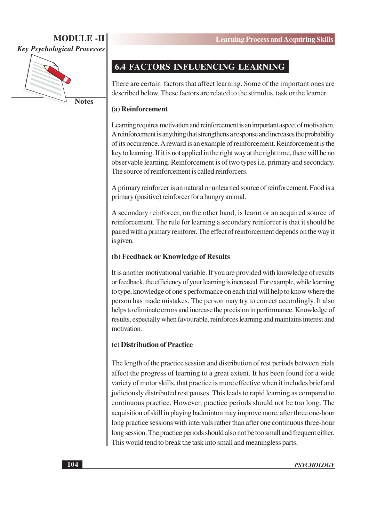

**Notes** 

## **6.4 FACTORS INFLUENCING LEARNING**

There are certain factors that affect learning. Some of the important ones are described below. These factors are related to the stimulus, task or the learner.

#### (a) Reinforcement

Learning requires motivation and reinforcement is an important aspect of motivation. A reinforcement is anything that strengthens a response and increases the probability of its occurrence. A reward is an example of reinforcement. Reinforcement is the key to learning. If it is not applied in the right way at the right time, there will be no observable learning. Reinforcement is of two types *i.e.* primary and secondary. The source of reinforcement is called reinforcers.

A primary reinforcer is an natural or unlearned source of reinforcement. Food is a primary (positive) reinforcer for a hungry animal.

A secondary reinforcer, on the other hand, is learnt or an acquired source of reinforcement. The rule for learning a secondary reinforcer is that it should be paired with a primary reinforer. The effect of reinforcement depends on the way it is given.

#### (b) Feedback or Knowledge of Results

It is another motivational variable. If you are provided with knowledge of results or feedback, the efficiency of your learning is increased. For example, while learning to type, knowledge of one's performance on each trial will help to know where the person has made mistakes. The person may try to correct accordingly. It also helps to eliminate errors and increase the precision in performance. Knowledge of results, especially when favourable, reinforces learning and maintains interest and motivation

#### (c) Distribution of Practice

The length of the practice session and distribution of rest periods between trials affect the progress of learning to a great extent. It has been found for a wide variety of motor skills, that practice is more effective when it includes brief and judiciously distributed rest pauses. This leads to rapid learning as compared to continuous practice. However, practice periods should not be too long. The acquisition of skill in playing badminton may improve more, after three one-hour long practice sessions with intervals rather than after one continuous three-hour long session. The practice periods should also not be too small and frequent either. This would tend to break the task into small and meaningless parts.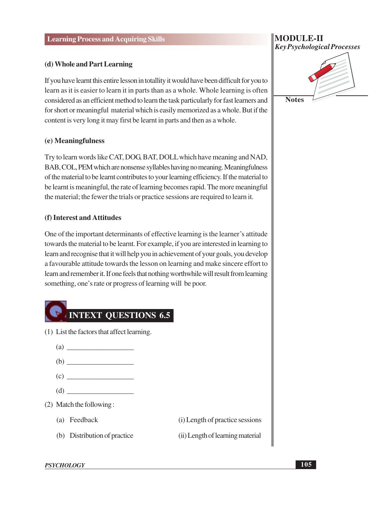#### (d) Whole and Part Learning

If you have learnt this entire lesson in totallity it would have been difficult for you to learn as it is easier to learn it in parts than as a whole. Whole learning is often considered as an efficient method to learn the task particularly for fast learners and for short or meaningful material which is easily memorized as a whole. But if the content is very long it may first be learnt in parts and then as a whole.

#### (e) Meaningfulness

Try to learn words like CAT, DOG, BAT, DOLL which have meaning and NAD, BAB, COL, PEM which are nonsense syllables having no meaning. Meaningfulness of the material to be learnt contributes to your learning efficiency. If the material to be learnt is meaningful, the rate of learning becomes rapid. The more meaningful the material; the fewer the trials or practice sessions are required to learn it.

#### (f) Interest and Attitudes

One of the important determinants of effective learning is the learner's attitude towards the material to be learnt. For example, if you are interested in learning to learn and recognise that it will help you in achievement of your goals, you develop a favourable attitude towards the lesson on learning and make sincere effort to learn and remember it. If one feels that nothing worthwhile will result from learning something, one's rate or progress of learning will be poor.



**Key Psychological Processes Notes** 

**MODULE-II**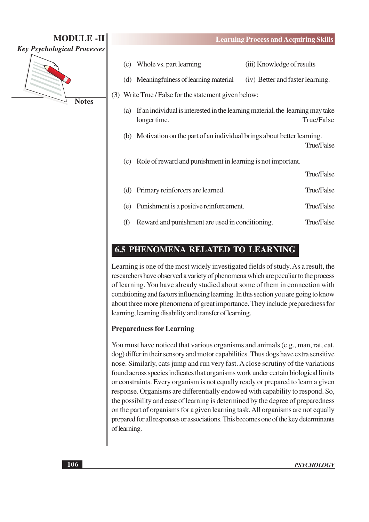**Key Psychological Processes** 

**MODULE-II** 



**Notes** 

- (c) Whole vs. part learning (iii) Knowledge of results
- (d) Meaningfulness of learning material (iv) Better and faster learning.

(3) Write True / False for the statement given below:

- (a) If an individual is interested in the learning material, the learning may take True/False longer time.
- (b) Motivation on the part of an individual brings about better learning.

True/False

(c) Role of reward and punishment in learning is not important.

|     |                                                 | True/False |
|-----|-------------------------------------------------|------------|
|     | (d) Primary reinforcers are learned.            | True/False |
|     | (e) Punishment is a positive reinforcement.     | True/False |
| (f) | Reward and punishment are used in conditioning. | True/False |

## **6.5 PHENOMENA RELATED TO LEARNING**

Learning is one of the most widely investigated fields of study. As a result, the researchers have observed a variety of phenomena which are peculiar to the process of learning. You have already studied about some of them in connection with conditioning and factors influencing learning. In this section you are going to know about three more phenomena of great importance. They include preparedness for learning, learning disability and transfer of learning.

#### **Preparedness for Learning**

You must have noticed that various organisms and animals (e.g., man, rat, cat, dog) differ in their sensory and motor capabilities. Thus dogs have extra sensitive nose. Similarly, cats jump and run very fast. A close scrutiny of the variations found across species indicates that organisms work under certain biological limits or constraints. Every organism is not equally ready or prepared to learn a given response. Organisms are differentially endowed with capability to respond. So, the possibility and ease of learning is determined by the degree of preparedness on the part of organisms for a given learning task. All organisms are not equally prepared for all responses or associations. This becomes one of the key determinants of learning.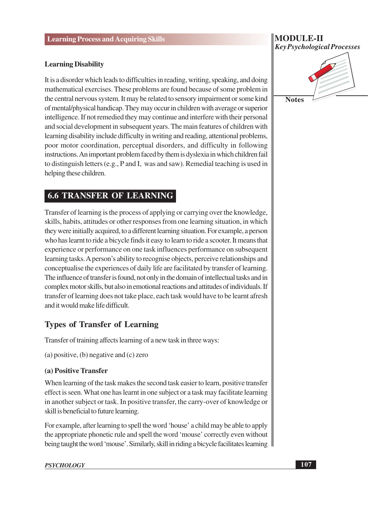#### **Learning Disability**

It is a disorder which leads to difficulties in reading, writing, speaking, and doing mathematical exercises. These problems are found because of some problem in the central nervous system. It may be related to sensory impairment or some kind of mental/physical handicap. They may occur in children with average or superior intelligence. If not remedied they may continue and interfere with their personal and social development in subsequent years. The main features of children with learning disability include difficulty in writing and reading, attentional problems, poor motor coordination, perceptual disorders, and difficulty in following instructions. An important problem faced by them is dyslexia in which children fail to distinguish letters (e.g., P and I, was and saw). Remedial teaching is used in helping these children.

## **6.6 TRANSFER OF LEARNING**

Transfer of learning is the process of applying or carrying over the knowledge, skills, habits, attitudes or other responses from one learning situation, in which they were initially acquired, to a different learning situation. For example, a person who has learnt to ride a bicycle finds it easy to learn to ride a scooter. It means that experience or performance on one task influences performance on subsequent learning tasks. A person's ability to recognise objects, perceive relationships and conceptualise the experiences of daily life are facilitated by transfer of learning. The influence of transfer is found, not only in the domain of intellectual tasks and in complex motor skills, but also in emotional reactions and attitudes of individuals. If transfer of learning does not take place, each task would have to be learnt afresh and it would make life difficult.

## **Types of Transfer of Learning**

Transfer of training affects learning of a new task in three ways:

(a) positive, (b) negative and (c) zero

#### (a) Positive Transfer

When learning of the task makes the second task easier to learn, positive transfer effect is seen. What one has learnt in one subject or a task may facilitate learning in another subject or task. In positive transfer, the carry-over of knowledge or skill is beneficial to future learning.

For example, after learning to spell the word 'house' a child may be able to apply the appropriate phonetic rule and spell the word 'mouse' correctly even without being taught the word 'mouse'. Similarly, skill in riding a bicycle facilitates learning

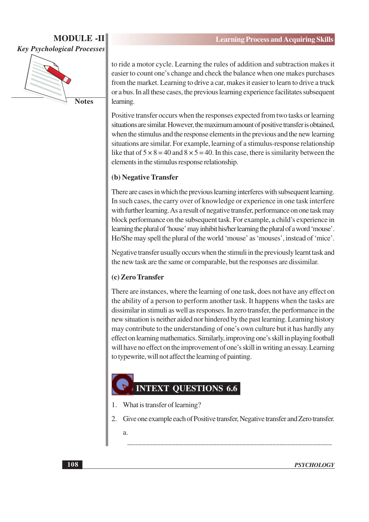

**Notes** 

to ride a motor cycle. Learning the rules of addition and subtraction makes it easier to count one's change and check the balance when one makes purchases from the market. Learning to drive a car, makes it easier to learn to drive a truck or a bus. In all these cases, the previous learning experience facilitates subsequent learning.

Positive transfer occurs when the responses expected from two tasks or learning situations are similar. However, the maximum amount of positive transfer is obtained, when the stimulus and the response elements in the previous and the new learning situations are similar. For example, learning of a stimulus-response relationship like that of  $5 \times 8 = 40$  and  $8 \times 5 = 40$ . In this case, there is similarity between the elements in the stimulus response relationship.

#### (b) Negative Transfer

There are cases in which the previous learning interferes with subsequent learning. In such cases, the carry over of knowledge or experience in one task interfere with further learning. As a result of negative transfer, performance on one task may block performance on the subsequent task. For example, a child's experience in learning the plural of 'house' may inhibit his/her learning the plural of a word 'mouse'. He/She may spell the plural of the world 'mouse' as 'mouses', instead of 'mice'.

Negative transfer usually occurs when the stimuli in the previously learnt task and the new task are the same or comparable, but the responses are dissimilar.

#### (c) Zero Transfer

There are instances, where the learning of one task, does not have any effect on the ability of a person to perform another task. It happens when the tasks are dissimilar in stimuli as well as responses. In zero transfer, the performance in the new situation is neither aided nor hindered by the past learning. Learning history may contribute to the understanding of one's own culture but it has hardly any effect on learning mathematics. Similarly, improving one's skill in playing football will have no effect on the improvement of one's skill in writing an essay. Learning to typewrite, will not affect the learning of painting.

## **INTEXT QUESTIONS 6.6**

- What is transfer of learning? 1.
- $2.$ Give one example each of Positive transfer, Negative transfer and Zero transfer.

a.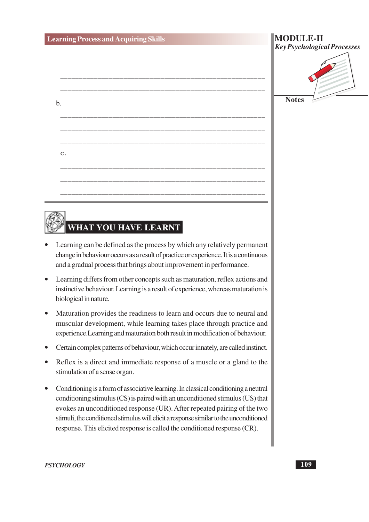$<sub>b</sub>$ </sub>

 $\mathbf{c}$ .

| <b>MODULE-II</b><br><b>Key Psychological Processes</b> |
|--------------------------------------------------------|
|                                                        |
|                                                        |
| <b>Notes</b>                                           |

# WHAT YOU HAVE LEARNT

- Learning can be defined as the process by which any relatively permanent change in behaviour occurs as a result of practice or experience. It is a continuous and a gradual process that brings about improvement in performance.
- Learning differs from other concepts such as maturation, reflex actions and instinctive behaviour. Learning is a result of experience, whereas maturation is biological in nature.
- Maturation provides the readiness to learn and occurs due to neural and muscular development, while learning takes place through practice and experience. Learning and maturation both result in modification of behaviour.
- Certain complex patterns of behaviour, which occur innately, are called instinct.
- Reflex is a direct and immediate response of a muscle or a gland to the stimulation of a sense organ.
- Conditioning is a form of associative learning. In classical conditioning a neutral conditioning stimulus (CS) is paired with an unconditioned stimulus (US) that evokes an unconditioned response (UR). After repeated pairing of the two stimuli, the conditioned stimulus will elicit a response similar to the unconditioned response. This elicited response is called the conditioned response (CR).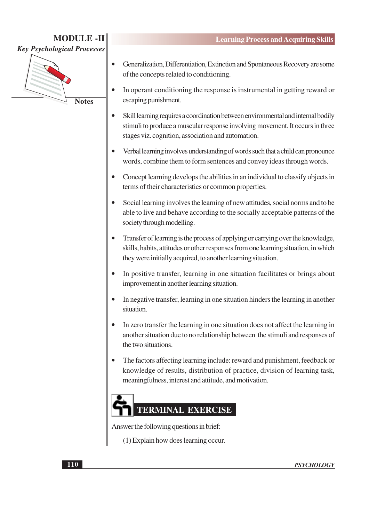

**Notes** 

- Generalization, Differentiation, Extinction and Spontaneous Recovery are some of the concepts related to conditioning.
- $\bullet$ In operant conditioning the response is instrumental in getting reward or escaping punishment.
- Skill learning requires a coordination between environmental and internal bodily stimuli to produce a muscular response involving movement. It occurs in three stages viz. cognition, association and automation.
- $\bullet$ Verbal learning involves understanding of words such that a child can pronounce words, combine them to form sentences and convey ideas through words.
- Concept learning develops the abilities in an individual to classify objects in terms of their characteristics or common properties.
- Social learning involves the learning of new attitudes, social norms and to be able to live and behave according to the socially acceptable patterns of the society through modelling.
- Transfer of learning is the process of applying or carrying over the knowledge, skills, habits, attitudes or other responses from one learning situation, in which they were initially acquired, to another learning situation.
- In positive transfer, learning in one situation facilitates or brings about improvement in another learning situation.
- In negative transfer, learning in one situation hinders the learning in another situation.
- In zero transfer the learning in one situation does not affect the learning in another situation due to no relationship between the stimuli and responses of the two situations.
- The factors affecting learning include: reward and punishment, feedback or  $\bullet$ knowledge of results, distribution of practice, division of learning task. meaningfulness, interest and attitude, and motivation.

## **TERMINAL EXERCISE**

Answer the following questions in brief:

(1) Explain how does learning occur.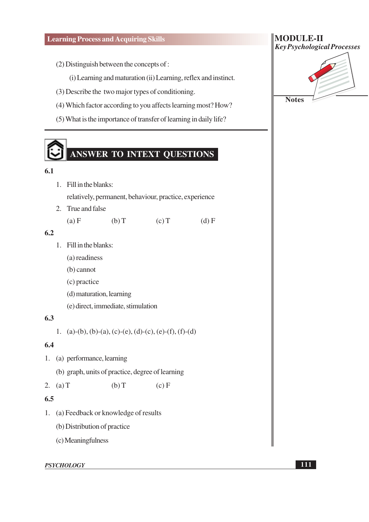- (2) Distinguish between the concepts of :
	- (i) Learning and maturation (ii) Learning, reflex and instinct.
- (3) Describe the two major types of conditioning.
- (4) Which factor according to you affects learning most? How?
- (5) What is the importance of transfer of learning in daily life?

# ANSWER TO INTEXT QUESTIONS

#### $6.1$

- 1. Fill in the blanks: relatively, permanent, behaviour, practice, experience
- 2. True and false  $(a) F$  $(b) T$  $(c)T$  $(d)$  F

#### $6.2$

- 1. Fill in the blanks:
	- (a) readiness
	- $(b)$  cannot
	- (c) practice
	- (d) maturation, learning
	- (e) direct, immediate, stimulation

#### $6.3$

1. (a)-(b), (b)-(a), (c)-(e), (d)-(c), (e)-(f), (f)-(d)

#### 6.4

- 1. (a) performance, learning
	- (b) graph, units of practice, degree of learning

2. (a)  $T$  $(b) T$  $(c) F$ 

#### $6.5$

- 1. (a) Feedback or knowledge of results
	- (b) Distribution of practice
	- (c) Meaningfulness